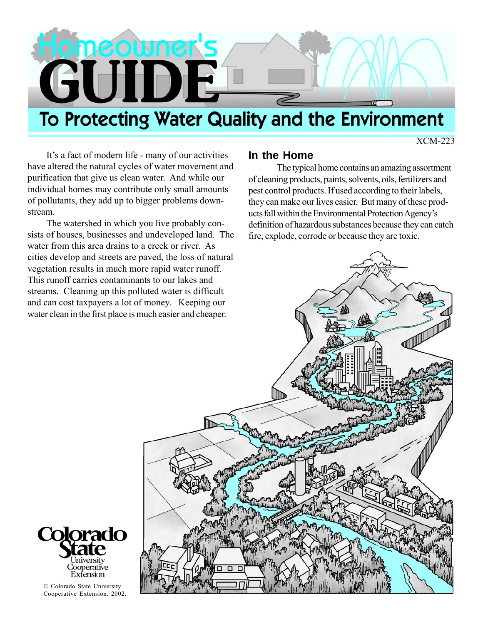

XCM-223

It's a fact of modern life - many of our activities have altered the natural cycles of water movement and purification that give us clean water. And while our individual homes may contribute only small amounts of pollutants, they add up to bigger problems downstream.

The watershed in which you live probably consists of houses, businesses and undeveloped land. The water from this area drains to a creek or river. As cities develop and streets are paved, the loss of natural vegetation results in much more rapid water runoff. This runoff carries contaminants to our lakes and streams. Cleaning up this polluted water is difficult and can cost taxpayers a lot of money. Keeping our water clean in the first place is much easier and cheaper.

### **In the Home**

The typical home contains an amazing assortment of cleaning products, paints, solvents, oils, fertilizers and pest control products. If used according to their labels, they can make our lives easier. But many of these products fall within the Environmental Protection Agency's definition of hazardous substances because they can catch fire, explode, corrode or because they are toxic.





© Colorado State University Cooperative Extension. 2002.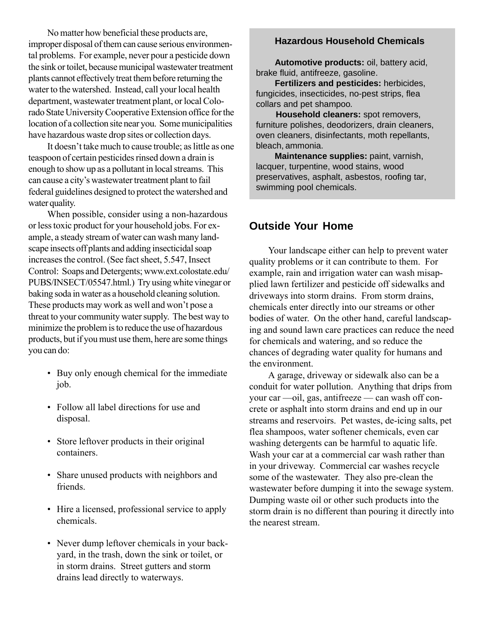No matter how beneficial these products are, improper disposal of them can cause serious environmental problems. For example, never pour a pesticide down the sink or toilet, because municipal wastewater treatment plants cannot effectively treat them before returning the water to the watershed. Instead, call your local health department, wastewater treatment plant, or local Colorado State University Cooperative Extension office for the location of a collection site near you. Some municipalities have hazardous waste drop sites or collection days.

It doesn't take much to cause trouble; as little as one teaspoon of certain pesticides rinsed down a drain is enough to show up as a pollutant in local streams. This can cause a city's wastewater treatment plant to fail federal guidelines designed to protect the watershed and water quality.

When possible, consider using a non-hazardous or less toxic product for your household jobs. For example, a steady stream of water can wash many landscape insects off plants and adding insecticidal soap increases the control. (See fact sheet, 5.547, Insect Control: Soaps and Detergents; www.ext.colostate.edu/ PUBS/INSECT/05547.html.) Try using white vinegar or baking soda in water as a household cleaning solution. These products may work as well and won't pose a threat to your community water supply. The best way to minimize the problem is to reduce the use of hazardous products, but if you must use them, here are some things you can do:

- Buy only enough chemical for the immediate job.
- Follow all label directions for use and disposal.
- Store leftover products in their original containers.
- Share unused products with neighbors and friends.
- Hire a licensed, professional service to apply chemicals.
- Never dump leftover chemicals in your backyard, in the trash, down the sink or toilet, or in storm drains. Street gutters and storm drains lead directly to waterways.

#### **Hazardous Household Chemicals**

**Automotive products:** oil, battery acid, brake fluid, antifreeze, gasoline.

**Fertilizers and pesticides:** herbicides, fungicides, insecticides, no-pest strips, flea collars and pet shampoo.

 **Household cleaners:** spot removers, furniture polishes, deodorizers, drain cleaners, oven cleaners, disinfectants, moth repellants, bleach, ammonia.

 **Maintenance supplies:** paint, varnish, lacquer, turpentine, wood stains, wood preservatives, asphalt, asbestos, roofing tar, swimming pool chemicals.

#### **Outside Your Home**

Your landscape either can help to prevent water quality problems or it can contribute to them. For example, rain and irrigation water can wash misapplied lawn fertilizer and pesticide off sidewalks and driveways into storm drains. From storm drains, chemicals enter directly into our streams or other bodies of water. On the other hand, careful landscaping and sound lawn care practices can reduce the need for chemicals and watering, and so reduce the chances of degrading water quality for humans and the environment.

A garage, driveway or sidewalk also can be a conduit for water pollution. Anything that drips from your car —oil, gas, antifreeze — can wash off concrete or asphalt into storm drains and end up in our streams and reservoirs. Pet wastes, de-icing salts, pet flea shampoos, water softener chemicals, even car washing detergents can be harmful to aquatic life. Wash your car at a commercial car wash rather than in your driveway. Commercial car washes recycle some of the wastewater. They also pre-clean the wastewater before dumping it into the sewage system. Dumping waste oil or other such products into the storm drain is no different than pouring it directly into the nearest stream.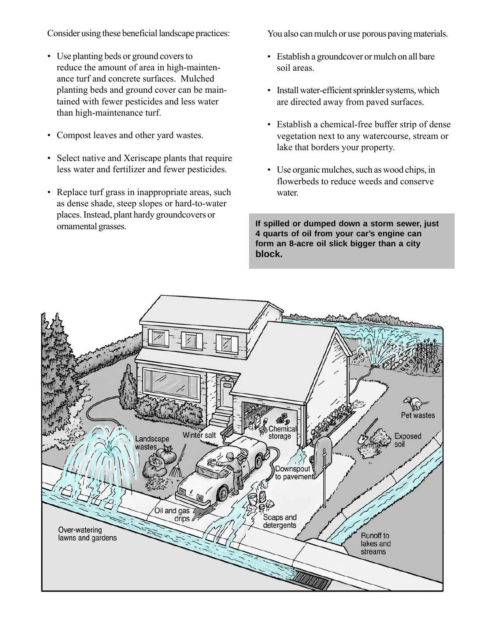Consider using these beneficial landscape practices:

- Use planting beds or ground covers to reduce the amount of area in high-maintenance turf and concrete surfaces. Mulched planting beds and ground cover can be maintained with fewer pesticides and less water than high-maintenance turf.
- Compost leaves and other yard wastes.
- Select native and Xeriscape plants that require less water and fertilizer and fewer pesticides.
- Replace turf grass in inappropriate areas, such as dense shade, steep slopes or hard-to-water places. Instead, plant hardy groundcovers or ornamental grasses.

You also can mulch or use porous paving materials.

- Establish a groundcover or mulch on all bare soil areas.
- Install water-efficient sprinkler systems, which are directed away from paved surfaces.
- Establish a chemical-free buffer strip of dense vegetation next to any watercourse, stream or lake that borders your property.
- Use organic mulches, such as wood chips, in flowerbeds to reduce weeds and conserve water.

**If spilled or dumped down a storm sewer, just 4 quarts of oil from your car's engine can form an 8-acre oil slick bigger than a city block.**

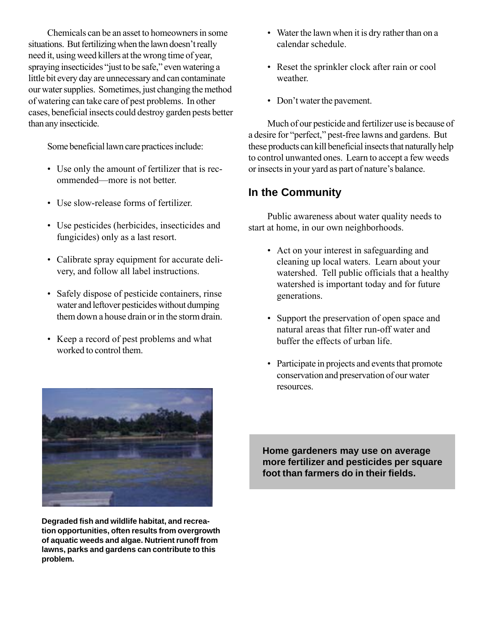Chemicals can be an asset to homeowners in some situations. But fertilizing when the lawn doesn't really need it, using weed killers at the wrong time of year, spraying insecticides "just to be safe," even watering a little bit every day are unnecessary and can contaminate our water supplies. Sometimes, just changing the method of watering can take care of pest problems. In other cases, beneficial insects could destroy garden pests better than any insecticide.

Some beneficial lawn care practices include:

- Use only the amount of fertilizer that is recommended—more is not better.
- Use slow-release forms of fertilizer.
- Use pesticides (herbicides, insecticides and fungicides) only as a last resort.
- Calibrate spray equipment for accurate delivery, and follow all label instructions.
- Safely dispose of pesticide containers, rinse water and leftover pesticides without dumping them down a house drain or in the storm drain.
- Keep a record of pest problems and what worked to control them.



**Degraded fish and wildlife habitat, and recreation opportunities, often results from overgrowth of aquatic weeds and algae. Nutrient runoff from lawns, parks and gardens can contribute to this problem.**

- Water the lawn when it is dry rather than on a calendar schedule.
- Reset the sprinkler clock after rain or cool weather.
- Don't water the pavement.

Much of our pesticide and fertilizer use is because of a desire for "perfect," pest-free lawns and gardens. But these products can kill beneficial insects that naturally help to control unwanted ones. Learn to accept a few weeds or insects in your yard as part of nature's balance.

## **In the Community**

Public awareness about water quality needs to start at home, in our own neighborhoods.

- Act on your interest in safeguarding and cleaning up local waters. Learn about your watershed. Tell public officials that a healthy watershed is important today and for future generations.
- Support the preservation of open space and natural areas that filter run-off water and buffer the effects of urban life.
- Participate in projects and events that promote conservation and preservation of our water resources.

**Home gardeners may use on average more fertilizer and pesticides per square foot than farmers do in their fields.**